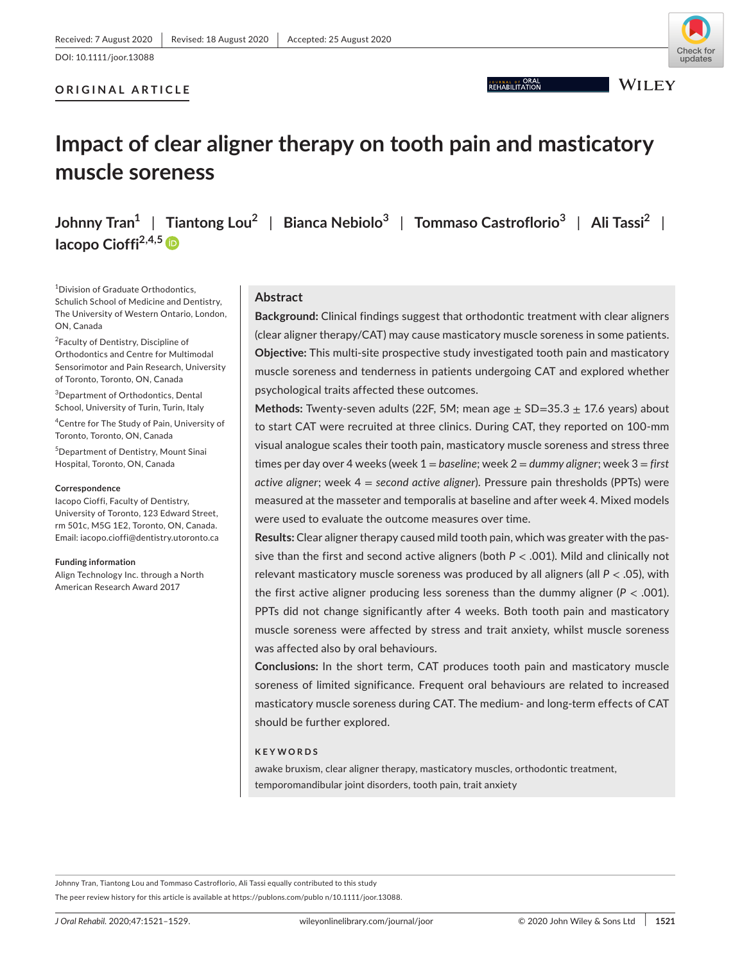# undates

## **ORIGINAL ARTICLE**

**JOURNAL OF ORAL** 

**WILEY** 

# **Impact of clear aligner therapy on tooth pain and masticatory muscle soreness**

**Johnny Tran1** | **Tiantong Lou2** | **Bianca Nebiolo<sup>3</sup>** | **Tommaso Castroflorio<sup>3</sup>** | **Ali Tassi2** | **Iacopo Cioffi2,4,[5](https://orcid.org/0000-0002-9708-6765)**

<sup>1</sup> Division of Graduate Orthodontics, Schulich School of Medicine and Dentistry, The University of Western Ontario, London, ON, Canada

<sup>2</sup>Faculty of Dentistry, Discipline of Orthodontics and Centre for Multimodal Sensorimotor and Pain Research, University of Toronto, Toronto, ON, Canada

3 Department of Orthodontics, Dental School, University of Turin, Turin, Italy

4 Centre for The Study of Pain, University of Toronto, Toronto, ON, Canada

5 Department of Dentistry, Mount Sinai Hospital, Toronto, ON, Canada

#### **Correspondence**

Iacopo Cioffi, Faculty of Dentistry, University of Toronto, 123 Edward Street, rm 501c, M5G 1E2, Toronto, ON, Canada. Email: [iacopo.cioffi@dentistry.utoronto.ca](mailto:iacopo.cioffi@dentistry.utoronto.ca)

#### **Funding information**

Align Technology Inc. through a North American Research Award 2017

# **Abstract**

**Background:** Clinical findings suggest that orthodontic treatment with clear aligners (clear aligner therapy/CAT) may cause masticatory muscle soreness in some patients. **Objective:** This multi-site prospective study investigated tooth pain and masticatory muscle soreness and tenderness in patients undergoing CAT and explored whether psychological traits affected these outcomes.

**Methods:** Twenty-seven adults (22F, 5M; mean age ± SD=35.3 ± 17.6 years) about to start CAT were recruited at three clinics. During CAT, they reported on 100-mm visual analogue scales their tooth pain, masticatory muscle soreness and stress three times per day over 4 weeks (week 1 = *baseline*; week 2 = *dummy aligner*; week 3 = *first active aligner*; week 4 = *second active aligner*). Pressure pain thresholds (PPTs) were measured at the masseter and temporalis at baseline and after week 4. Mixed models were used to evaluate the outcome measures over time.

**Results:** Clear aligner therapy caused mild tooth pain, which was greater with the passive than the first and second active aligners (both *P* < .001). Mild and clinically not relevant masticatory muscle soreness was produced by all aligners (all *P* < .05), with the first active aligner producing less soreness than the dummy aligner ( $P < .001$ ). PPTs did not change significantly after 4 weeks. Both tooth pain and masticatory muscle soreness were affected by stress and trait anxiety, whilst muscle soreness was affected also by oral behaviours.

**Conclusions:** In the short term, CAT produces tooth pain and masticatory muscle soreness of limited significance. Frequent oral behaviours are related to increased masticatory muscle soreness during CAT. The medium- and long-term effects of CAT should be further explored.

#### **KEYWORDS**

awake bruxism, clear aligner therapy, masticatory muscles, orthodontic treatment, temporomandibular joint disorders, tooth pain, trait anxiety

The peer review history for this article is available at [https://publons.com/publo n/10.1111/joor.13088.](https://publons.com/publon/10.1111/joor.13088) Johnny Tran, Tiantong Lou and Tommaso Castroflorio, Ali Tassi equally contributed to this study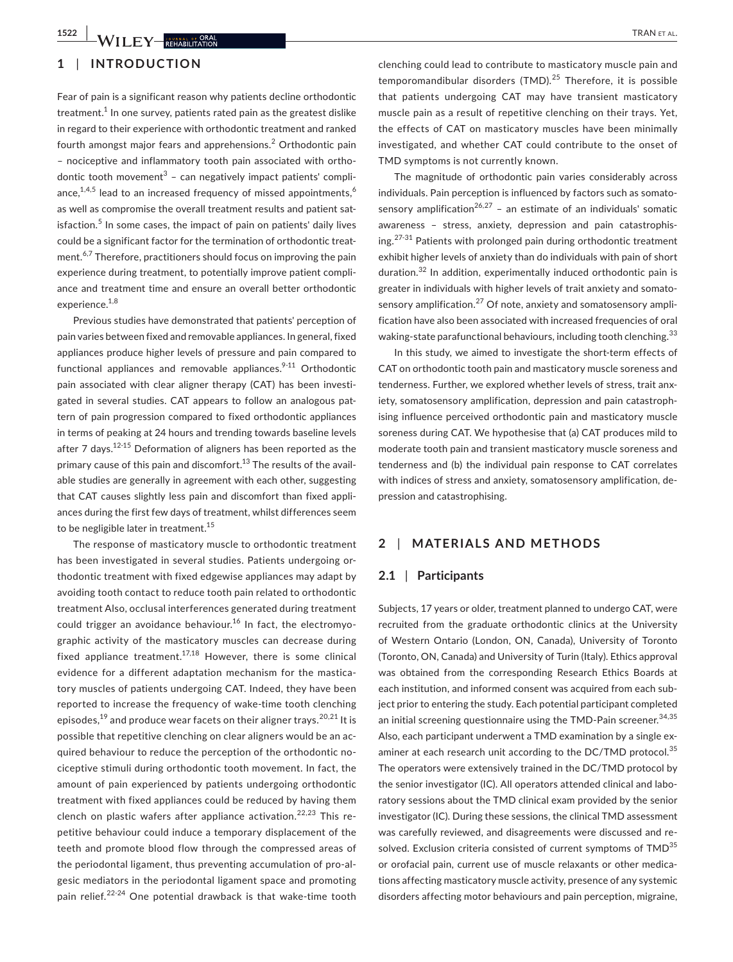# **1522 WILEY REHABILITATION**

# **1** | **INTRODUCTION**

Fear of pain is a significant reason why patients decline orthodontic treatment. $^1$  In one survey, patients rated pain as the greatest dislike in regard to their experience with orthodontic treatment and ranked fourth amongst major fears and apprehensions.<sup>2</sup> Orthodontic pain – nociceptive and inflammatory tooth pain associated with orthodontic tooth movement<sup>3</sup> - can negatively impact patients' compliance, $1,4,5$  lead to an increased frequency of missed appointments,  $6$ as well as compromise the overall treatment results and patient satisfaction.<sup>5</sup> In some cases, the impact of pain on patients' daily lives could be a significant factor for the termination of orthodontic treatment.<sup>6,7</sup> Therefore, practitioners should focus on improving the pain experience during treatment, to potentially improve patient compliance and treatment time and ensure an overall better orthodontic experience.<sup>1,8</sup>

Previous studies have demonstrated that patients' perception of pain varies between fixed and removable appliances. In general, fixed appliances produce higher levels of pressure and pain compared to functional appliances and removable appliances. $9-11$  Orthodontic pain associated with clear aligner therapy (CAT) has been investigated in several studies. CAT appears to follow an analogous pattern of pain progression compared to fixed orthodontic appliances in terms of peaking at 24 hours and trending towards baseline levels after 7 days.<sup>12-15</sup> Deformation of aligners has been reported as the primary cause of this pain and discomfort.<sup>13</sup> The results of the available studies are generally in agreement with each other, suggesting that CAT causes slightly less pain and discomfort than fixed appliances during the first few days of treatment, whilst differences seem to be negligible later in treatment.<sup>15</sup>

The response of masticatory muscle to orthodontic treatment has been investigated in several studies. Patients undergoing orthodontic treatment with fixed edgewise appliances may adapt by avoiding tooth contact to reduce tooth pain related to orthodontic treatment Also, occlusal interferences generated during treatment could trigger an avoidance behaviour.<sup>16</sup> In fact, the electromyographic activity of the masticatory muscles can decrease during fixed appliance treatment.<sup>17,18</sup> However, there is some clinical evidence for a different adaptation mechanism for the masticatory muscles of patients undergoing CAT. Indeed, they have been reported to increase the frequency of wake-time tooth clenching episodes,<sup>19</sup> and produce wear facets on their aligner trays.<sup>20,21</sup> It is possible that repetitive clenching on clear aligners would be an acquired behaviour to reduce the perception of the orthodontic nociceptive stimuli during orthodontic tooth movement. In fact, the amount of pain experienced by patients undergoing orthodontic treatment with fixed appliances could be reduced by having them clench on plastic wafers after appliance activation.<sup>22,23</sup> This repetitive behaviour could induce a temporary displacement of the teeth and promote blood flow through the compressed areas of the periodontal ligament, thus preventing accumulation of pro-algesic mediators in the periodontal ligament space and promoting pain relief.<sup>22-24</sup> One potential drawback is that wake-time tooth

clenching could lead to contribute to masticatory muscle pain and temporomandibular disorders (TMD). $25$  Therefore, it is possible that patients undergoing CAT may have transient masticatory muscle pain as a result of repetitive clenching on their trays. Yet, the effects of CAT on masticatory muscles have been minimally investigated, and whether CAT could contribute to the onset of TMD symptoms is not currently known.

The magnitude of orthodontic pain varies considerably across individuals. Pain perception is influenced by factors such as somatosensory amplification<sup>26,27</sup> – an estimate of an individuals' somatic awareness – stress, anxiety, depression and pain catastrophising.27-31 Patients with prolonged pain during orthodontic treatment exhibit higher levels of anxiety than do individuals with pain of short duration.<sup>32</sup> In addition, experimentally induced orthodontic pain is greater in individuals with higher levels of trait anxiety and somatosensory amplification. $^{27}$  Of note, anxiety and somatosensory amplification have also been associated with increased frequencies of oral waking-state parafunctional behaviours, including tooth clenching.<sup>33</sup>

In this study, we aimed to investigate the short-term effects of CAT on orthodontic tooth pain and masticatory muscle soreness and tenderness. Further, we explored whether levels of stress, trait anxiety, somatosensory amplification, depression and pain catastrophising influence perceived orthodontic pain and masticatory muscle soreness during CAT. We hypothesise that (a) CAT produces mild to moderate tooth pain and transient masticatory muscle soreness and tenderness and (b) the individual pain response to CAT correlates with indices of stress and anxiety, somatosensory amplification, depression and catastrophising.

# **2** | **MATERIALS AND METHODS**

#### **2.1** | **Participants**

Subjects, 17 years or older, treatment planned to undergo CAT, were recruited from the graduate orthodontic clinics at the University of Western Ontario (London, ON, Canada), University of Toronto (Toronto, ON, Canada) and University of Turin (Italy). Ethics approval was obtained from the corresponding Research Ethics Boards at each institution, and informed consent was acquired from each subject prior to entering the study. Each potential participant completed an initial screening questionnaire using the TMD-Pain screener.  $34,35$ Also, each participant underwent a TMD examination by a single examiner at each research unit according to the DC/TMD protocol.<sup>35</sup> The operators were extensively trained in the DC/TMD protocol by the senior investigator (IC). All operators attended clinical and laboratory sessions about the TMD clinical exam provided by the senior investigator (IC). During these sessions, the clinical TMD assessment was carefully reviewed, and disagreements were discussed and resolved. Exclusion criteria consisted of current symptoms of TMD<sup>35</sup> or orofacial pain, current use of muscle relaxants or other medications affecting masticatory muscle activity, presence of any systemic disorders affecting motor behaviours and pain perception, migraine,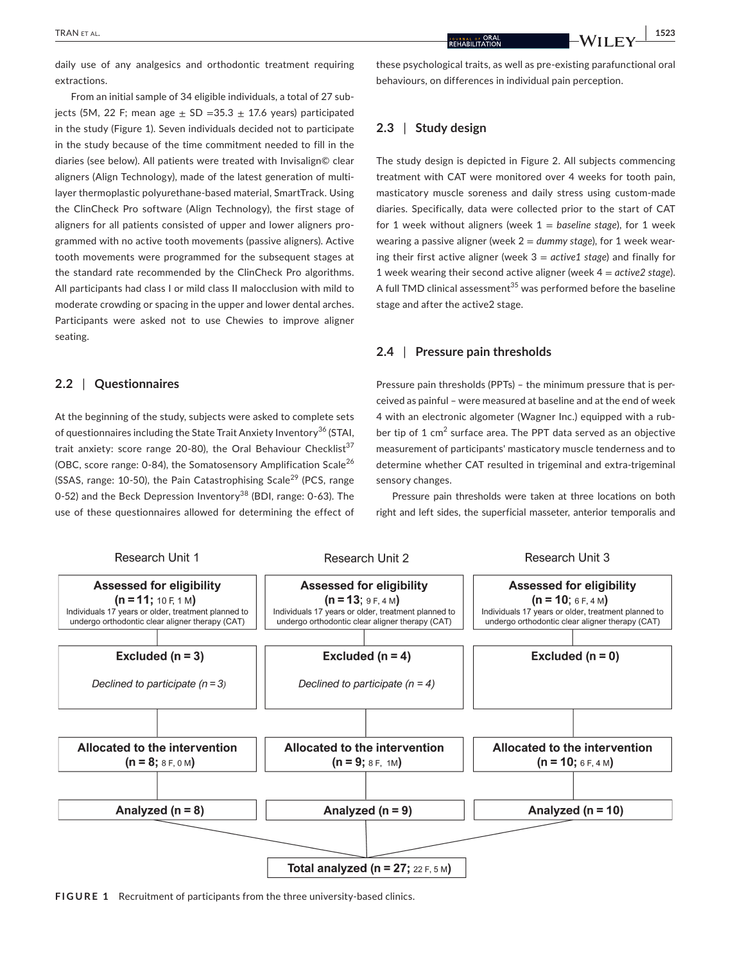daily use of any analgesics and orthodontic treatment requiring extractions.

From an initial sample of 34 eligible individuals, a total of 27 subjects (5M, 22 F; mean age  $+$  SD = 35.3  $+$  17.6 years) participated in the study (Figure 1). Seven individuals decided not to participate in the study because of the time commitment needed to fill in the diaries (see below). All patients were treated with Invisalign© clear aligners (Align Technology), made of the latest generation of multilayer thermoplastic polyurethane-based material, SmartTrack. Using the ClinCheck Pro software (Align Technology), the first stage of aligners for all patients consisted of upper and lower aligners programmed with no active tooth movements (passive aligners). Active tooth movements were programmed for the subsequent stages at the standard rate recommended by the ClinCheck Pro algorithms. All participants had class I or mild class II malocclusion with mild to moderate crowding or spacing in the upper and lower dental arches. Participants were asked not to use Chewies to improve aligner seating.

#### **2.2** | **Questionnaires**

At the beginning of the study, subjects were asked to complete sets of questionnaires including the State Trait Anxiety Inventory<sup>36</sup> (STAI, trait anxiety: score range 20-80), the Oral Behaviour Checklist<sup>37</sup> (OBC, score range: 0-84), the Somatosensory Amplification Scale<sup>26</sup> (SSAS, range:  $10-50$ ), the Pain Catastrophising Scale<sup>29</sup> (PCS, range 0-52) and the Beck Depression Inventory<sup>38</sup> (BDI, range: 0-63). The use of these questionnaires allowed for determining the effect of

these psychological traits, as well as pre-existing parafunctional oral behaviours, on differences in individual pain perception.

# **2.3** | **Study design**

The study design is depicted in Figure 2. All subjects commencing treatment with CAT were monitored over 4 weeks for tooth pain, masticatory muscle soreness and daily stress using custom-made diaries. Specifically, data were collected prior to the start of CAT for 1 week without aligners (week 1 = *baseline stage*), for 1 week wearing a passive aligner (week 2 = *dummy stage*), for 1 week wearing their first active aligner (week 3 = *active1 stage*) and finally for 1 week wearing their second active aligner (week 4 = *active2 stage*). A full TMD clinical assessment<sup>35</sup> was performed before the baseline stage and after the active2 stage.

#### **2.4** | **Pressure pain thresholds**

Pressure pain thresholds (PPTs) – the minimum pressure that is perceived as painful – were measured at baseline and at the end of week 4 with an electronic algometer (Wagner Inc.) equipped with a rubber tip of 1 cm<sup>2</sup> surface area. The PPT data served as an objective measurement of participants' masticatory muscle tenderness and to determine whether CAT resulted in trigeminal and extra-trigeminal sensory changes.

Pressure pain thresholds were taken at three locations on both right and left sides, the superficial masseter, anterior temporalis and



**FIGURE 1** Recruitment of participants from the three university-based clinics.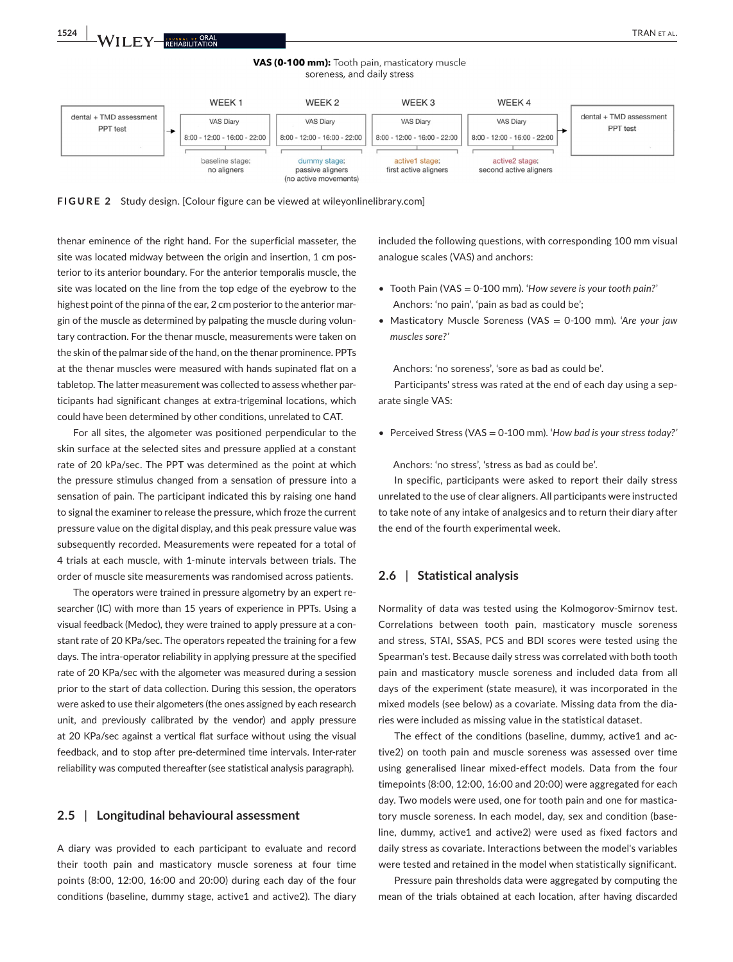VAS (0-100 mm): Tooth pain, masticatory muscle soreness, and daily stress



**FIGURE 2** Study design. [Colour figure can be viewed at [wileyonlinelibrary.com](www.wileyonlinelibrary.com)]

thenar eminence of the right hand. For the superficial masseter, the site was located midway between the origin and insertion, 1 cm posterior to its anterior boundary. For the anterior temporalis muscle, the site was located on the line from the top edge of the eyebrow to the highest point of the pinna of the ear, 2 cm posterior to the anterior margin of the muscle as determined by palpating the muscle during voluntary contraction. For the thenar muscle, measurements were taken on the skin of the palmar side of the hand, on the thenar prominence. PPTs at the thenar muscles were measured with hands supinated flat on a tabletop. The latter measurement was collected to assess whether participants had significant changes at extra-trigeminal locations, which could have been determined by other conditions, unrelated to CAT.

For all sites, the algometer was positioned perpendicular to the skin surface at the selected sites and pressure applied at a constant rate of 20 kPa/sec. The PPT was determined as the point at which the pressure stimulus changed from a sensation of pressure into a sensation of pain. The participant indicated this by raising one hand to signal the examiner to release the pressure, which froze the current pressure value on the digital display, and this peak pressure value was subsequently recorded. Measurements were repeated for a total of 4 trials at each muscle, with 1-minute intervals between trials. The order of muscle site measurements was randomised across patients.

The operators were trained in pressure algometry by an expert researcher (IC) with more than 15 years of experience in PPTs. Using a visual feedback (Medoc), they were trained to apply pressure at a constant rate of 20 KPa/sec. The operators repeated the training for a few days. The intra-operator reliability in applying pressure at the specified rate of 20 KPa/sec with the algometer was measured during a session prior to the start of data collection. During this session, the operators were asked to use their algometers (the ones assigned by each research unit, and previously calibrated by the vendor) and apply pressure at 20 KPa/sec against a vertical flat surface without using the visual feedback, and to stop after pre-determined time intervals. Inter-rater reliability was computed thereafter (see statistical analysis paragraph).

#### **2.5** | **Longitudinal behavioural assessment**

A diary was provided to each participant to evaluate and record their tooth pain and masticatory muscle soreness at four time points (8:00, 12:00, 16:00 and 20:00) during each day of the four conditions (baseline, dummy stage, active1 and active2). The diary

included the following questions, with corresponding 100 mm visual analogue scales (VAS) and anchors:

- Tooth Pain (VAS = 0-100 mm). '*How severe is your tooth pain?*' Anchors: 'no pain', 'pain as bad as could be';
- Masticatory Muscle Soreness (VAS = 0-100 mm). '*Are your jaw muscles sore?'*

Anchors: 'no soreness', 'sore as bad as could be'.

Participants' stress was rated at the end of each day using a separate single VAS:

• Perceived Stress (VAS = 0-100 mm). '*How bad is your stress today?'*

Anchors: 'no stress', 'stress as bad as could be'.

In specific, participants were asked to report their daily stress unrelated to the use of clear aligners. All participants were instructed to take note of any intake of analgesics and to return their diary after the end of the fourth experimental week.

#### **2.6** | **Statistical analysis**

Normality of data was tested using the Kolmogorov-Smirnov test. Correlations between tooth pain, masticatory muscle soreness and stress, STAI, SSAS, PCS and BDI scores were tested using the Spearman's test. Because daily stress was correlated with both tooth pain and masticatory muscle soreness and included data from all days of the experiment (state measure), it was incorporated in the mixed models (see below) as a covariate. Missing data from the diaries were included as missing value in the statistical dataset.

The effect of the conditions (baseline, dummy, active1 and active2) on tooth pain and muscle soreness was assessed over time using generalised linear mixed-effect models. Data from the four timepoints (8:00, 12:00, 16:00 and 20:00) were aggregated for each day. Two models were used, one for tooth pain and one for masticatory muscle soreness. In each model, day, sex and condition (baseline, dummy, active1 and active2) were used as fixed factors and daily stress as covariate. Interactions between the model's variables were tested and retained in the model when statistically significant.

Pressure pain thresholds data were aggregated by computing the mean of the trials obtained at each location, after having discarded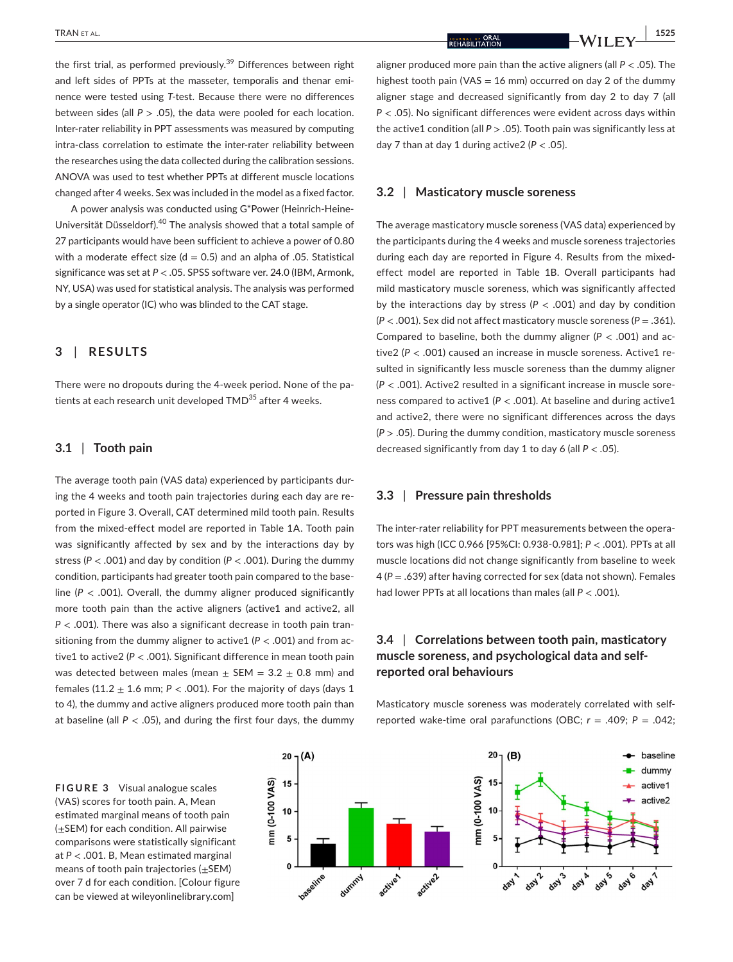the first trial, as performed previously.<sup>39</sup> Differences between right and left sides of PPTs at the masseter, temporalis and thenar eminence were tested using *T*-test. Because there were no differences between sides (all *P* > .05), the data were pooled for each location. Inter-rater reliability in PPT assessments was measured by computing intra-class correlation to estimate the inter-rater reliability between the researches using the data collected during the calibration sessions. ANOVA was used to test whether PPTs at different muscle locations changed after 4 weeks. Sex was included in the model as a fixed factor.

A power analysis was conducted using G\*Power (Heinrich-Heine-Universität Düsseldorf).40 The analysis showed that a total sample of 27 participants would have been sufficient to achieve a power of 0.80 with a moderate effect size ( $d = 0.5$ ) and an alpha of .05. Statistical significance was set at *P* < .05. SPSS software ver. 24.0 (IBM, Armonk, NY, USA) was used for statistical analysis. The analysis was performed by a single operator (IC) who was blinded to the CAT stage.

# **3** | **RESULTS**

There were no dropouts during the 4-week period. None of the patients at each research unit developed TMD<sup>35</sup> after 4 weeks.

#### **3.1** | **Tooth pain**

The average tooth pain (VAS data) experienced by participants during the 4 weeks and tooth pain trajectories during each day are reported in Figure 3. Overall, CAT determined mild tooth pain. Results from the mixed-effect model are reported in Table 1A. Tooth pain was significantly affected by sex and by the interactions day by stress (*P* < .001) and day by condition (*P* < .001). During the dummy condition, participants had greater tooth pain compared to the baseline (*P* < .001). Overall, the dummy aligner produced significantly more tooth pain than the active aligners (active1 and active2, all *P* < .001). There was also a significant decrease in tooth pain transitioning from the dummy aligner to active1 (*P* < .001) and from active1 to active2 (*P* < .001). Significant difference in mean tooth pain was detected between males (mean  $\pm$  SEM = 3.2  $\pm$  0.8 mm) and females (11.2  $\pm$  1.6 mm;  $P <$  .001). For the majority of days (days 1 to 4), the dummy and active aligners produced more tooth pain than at baseline (all  $P < .05$ ), and during the first four days, the dummy aligner produced more pain than the active aligners (all *P* < .05). The highest tooth pain (VAS = 16 mm) occurred on day 2 of the dummy aligner stage and decreased significantly from day 2 to day 7 (all *P* < .05). No significant differences were evident across days within the active1 condition (all *P* > .05). Tooth pain was significantly less at day 7 than at day 1 during active  $2 (P < .05)$ .

#### **3.2** | **Masticatory muscle soreness**

The average masticatory muscle soreness (VAS data) experienced by the participants during the 4 weeks and muscle soreness trajectories during each day are reported in Figure 4. Results from the mixedeffect model are reported in Table 1B. Overall participants had mild masticatory muscle soreness, which was significantly affected by the interactions day by stress (*P* < .001) and day by condition (*P* < .001). Sex did not affect masticatory muscle soreness (*P* = .361). Compared to baseline, both the dummy aligner (*P* < .001) and active2 (P < .001) caused an increase in muscle soreness. Active1 resulted in significantly less muscle soreness than the dummy aligner (*P* < .001). Active2 resulted in a significant increase in muscle soreness compared to active1 (*P* < .001). At baseline and during active1 and active2, there were no significant differences across the days (*P* > .05). During the dummy condition, masticatory muscle soreness decreased significantly from day 1 to day 6 (all *P* < .05).

#### **3.3** | **Pressure pain thresholds**

The inter-rater reliability for PPT measurements between the operators was high (ICC 0.966 [95%CI: 0.938-0.981]; *P* < .001). PPTs at all muscle locations did not change significantly from baseline to week 4 (*P* = .639) after having corrected for sex (data not shown). Females had lower PPTs at all locations than males (all *P* < .001).

# **3.4** | **Correlations between tooth pain, masticatory muscle soreness, and psychological data and selfreported oral behaviours**

Masticatory muscle soreness was moderately correlated with selfreported wake-time oral parafunctions (OBC; *r* = .409; *P* = .042;

**FIGURE 3** Visual analogue scales (VAS) scores for tooth pain. A, Mean estimated marginal means of tooth pain (±SEM) for each condition. All pairwise comparisons were statistically significant at *P* < .001. B, Mean estimated marginal means of tooth pain trajectories  $(\pm$ SEM) over 7 d for each condition. [Colour figure can be viewed at [wileyonlinelibrary.com\]](www.wileyonlinelibrary.com)

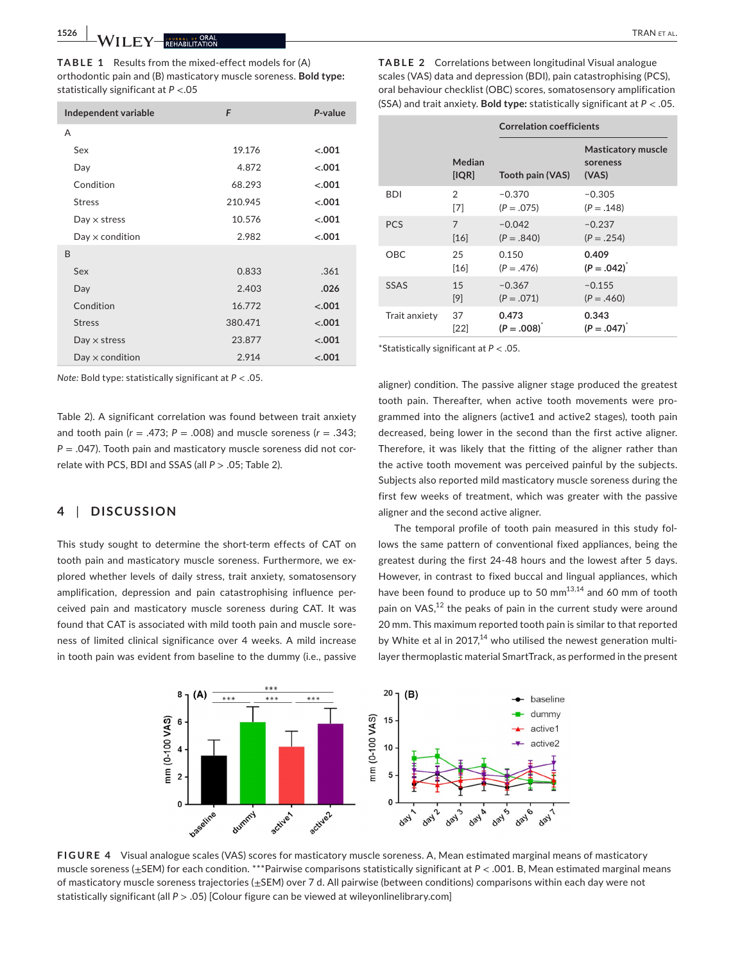**1526 |**  TRAN et al.

**TABLE 1** Results from the mixed-effect models for (A) orthodontic pain and (B) masticatory muscle soreness. **Bold type:** statistically significant at *P* <.05

| Independent variable   | F       | P-value |
|------------------------|---------|---------|
| A                      |         |         |
| Sex                    | 19.176  | $-.001$ |
| Day                    | 4.872   | $-.001$ |
| Condition              | 68.293  | $-.001$ |
| <b>Stress</b>          | 210.945 | $-.001$ |
| $Day \times stress$    | 10.576  | $-.001$ |
| $Day \times$ condition | 2.982   | $-.001$ |
| B                      |         |         |
| Sex                    | 0.833   | .361    |
| Day                    | 2.403   | .026    |
| Condition              | 16.772  | $-.001$ |
| <b>Stress</b>          | 380.471 | $-.001$ |
| $Day \times stress$    | 23.877  | $-.001$ |
| $Day \times$ condition | 2.914   | $-.001$ |

*Note:* Bold type: statistically significant at *P* < .05.

Table 2). A significant correlation was found between trait anxiety and tooth pain (*r* = .473; *P* = .008) and muscle soreness (*r* = .343; *P* = .047). Tooth pain and masticatory muscle soreness did not correlate with PCS, BDI and SSAS (all *P* > .05; Table 2).

## **4** | **DISCUSSION**

This study sought to determine the short-term effects of CAT on tooth pain and masticatory muscle soreness. Furthermore, we explored whether levels of daily stress, trait anxiety, somatosensory amplification, depression and pain catastrophising influence perceived pain and masticatory muscle soreness during CAT. It was found that CAT is associated with mild tooth pain and muscle soreness of limited clinical significance over 4 weeks. A mild increase in tooth pain was evident from baseline to the dummy (i.e., passive

|               |                 | <b>Correlation coefficients</b> |                                                |
|---------------|-----------------|---------------------------------|------------------------------------------------|
|               | Median<br>[IQR] | Tooth pain (VAS)                | <b>Masticatory muscle</b><br>soreness<br>(VAS) |
| <b>BDI</b>    | 2               | $-0.370$                        | $-0.305$                                       |
|               | [7]             | $(P=.075)$                      | $(P=.148)$                                     |
| <b>PCS</b>    | $\overline{7}$  | $-0.042$                        | $-0.237$                                       |
|               | [16]            | $(P=.840)$                      | $(P=.254)$                                     |
| OBC.          | 25              | 0.150                           | 0.409                                          |
|               | [16]            | $(P = .476)$                    | $(P=.042)^{r}$                                 |
| SSAS          | 1.5             | $-0.367$                        | $-0.155$                                       |
|               | [9]             | $(P=.071)$                      | $(P = .460)$                                   |
| Trait anxiety | 37              | 0.473                           | 0.343                                          |
|               | [22]            | $(P=.008)^T$                    | $(P=.047)^{^*}$                                |

\*Statistically significant at *P* < .05.

aligner) condition. The passive aligner stage produced the greatest tooth pain. Thereafter, when active tooth movements were programmed into the aligners (active1 and active2 stages), tooth pain decreased, being lower in the second than the first active aligner. Therefore, it was likely that the fitting of the aligner rather than the active tooth movement was perceived painful by the subjects. Subjects also reported mild masticatory muscle soreness during the first few weeks of treatment, which was greater with the passive aligner and the second active aligner.

The temporal profile of tooth pain measured in this study follows the same pattern of conventional fixed appliances, being the greatest during the first 24-48 hours and the lowest after 5 days. However, in contrast to fixed buccal and lingual appliances, which have been found to produce up to 50 mm<sup>13,14</sup> and 60 mm of tooth pain on VAS,<sup>12</sup> the peaks of pain in the current study were around 20 mm. This maximum reported tooth pain is similar to that reported by White et al in 2017,<sup>14</sup> who utilised the newest generation multilayer thermoplastic material SmartTrack, as performed in the present



**FIGURE 4** Visual analogue scales (VAS) scores for masticatory muscle soreness. A, Mean estimated marginal means of masticatory muscle soreness (±SEM) for each condition. \*\*\*Pairwise comparisons statistically significant at *P* < .001. B, Mean estimated marginal means of masticatory muscle soreness trajectories (±SEM) over 7 d. All pairwise (between conditions) comparisons within each day were not statistically significant (all *P* > .05) [Colour figure can be viewed at [wileyonlinelibrary.com\]](www.wileyonlinelibrary.com)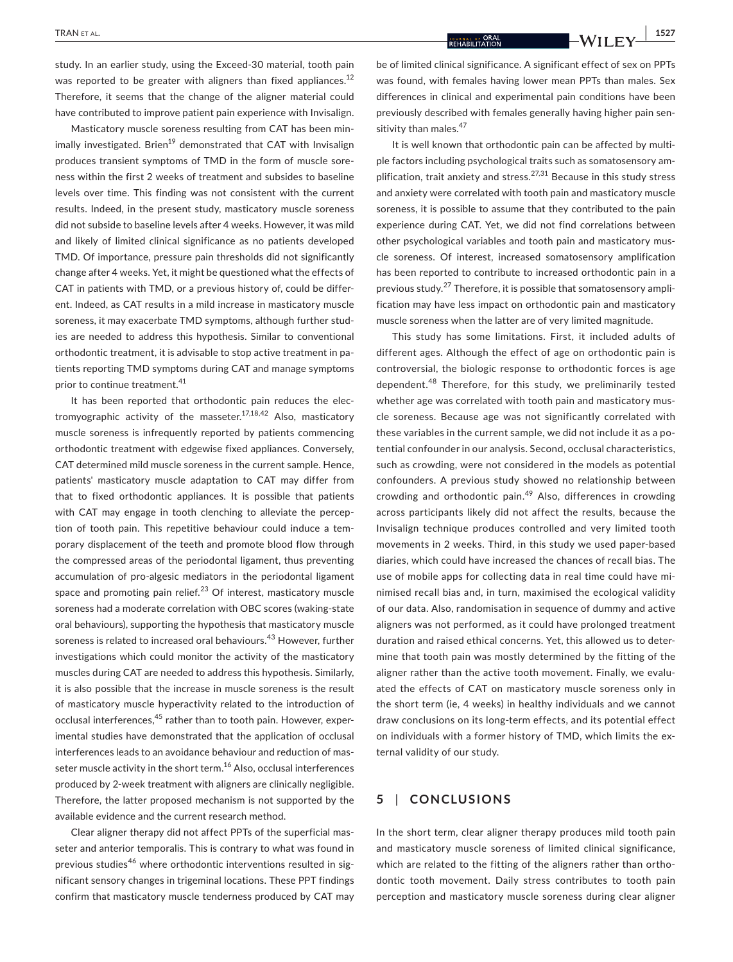study. In an earlier study, using the Exceed-30 material, tooth pain was reported to be greater with aligners than fixed appliances.<sup>12</sup> Therefore, it seems that the change of the aligner material could have contributed to improve patient pain experience with Invisalign.

Masticatory muscle soreness resulting from CAT has been minimally investigated. Brien<sup>19</sup> demonstrated that CAT with Invisalign produces transient symptoms of TMD in the form of muscle soreness within the first 2 weeks of treatment and subsides to baseline levels over time. This finding was not consistent with the current results. Indeed, in the present study, masticatory muscle soreness did not subside to baseline levels after 4 weeks. However, it was mild and likely of limited clinical significance as no patients developed TMD. Of importance, pressure pain thresholds did not significantly change after 4 weeks. Yet, it might be questioned what the effects of CAT in patients with TMD, or a previous history of, could be different. Indeed, as CAT results in a mild increase in masticatory muscle soreness, it may exacerbate TMD symptoms, although further studies are needed to address this hypothesis. Similar to conventional orthodontic treatment, it is advisable to stop active treatment in patients reporting TMD symptoms during CAT and manage symptoms prior to continue treatment.<sup>41</sup>

It has been reported that orthodontic pain reduces the electromyographic activity of the masseter.<sup>17,18,42</sup> Also, masticatory muscle soreness is infrequently reported by patients commencing orthodontic treatment with edgewise fixed appliances. Conversely, CAT determined mild muscle soreness in the current sample. Hence, patients' masticatory muscle adaptation to CAT may differ from that to fixed orthodontic appliances. It is possible that patients with CAT may engage in tooth clenching to alleviate the perception of tooth pain. This repetitive behaviour could induce a temporary displacement of the teeth and promote blood flow through the compressed areas of the periodontal ligament, thus preventing accumulation of pro-algesic mediators in the periodontal ligament space and promoting pain relief.<sup>23</sup> Of interest, masticatory muscle soreness had a moderate correlation with OBC scores (waking-state oral behaviours), supporting the hypothesis that masticatory muscle soreness is related to increased oral behaviours.<sup>43</sup> However, further investigations which could monitor the activity of the masticatory muscles during CAT are needed to address this hypothesis. Similarly, it is also possible that the increase in muscle soreness is the result of masticatory muscle hyperactivity related to the introduction of occlusal interferences,<sup>45</sup> rather than to tooth pain. However, experimental studies have demonstrated that the application of occlusal interferences leads to an avoidance behaviour and reduction of masseter muscle activity in the short term.<sup>16</sup> Also, occlusal interferences produced by 2-week treatment with aligners are clinically negligible. Therefore, the latter proposed mechanism is not supported by the available evidence and the current research method.

Clear aligner therapy did not affect PPTs of the superficial masseter and anterior temporalis. This is contrary to what was found in previous studies<sup>46</sup> where orthodontic interventions resulted in significant sensory changes in trigeminal locations. These PPT findings confirm that masticatory muscle tenderness produced by CAT may

be of limited clinical significance. A significant effect of sex on PPTs was found, with females having lower mean PPTs than males. Sex differences in clinical and experimental pain conditions have been previously described with females generally having higher pain sensitivity than males.<sup>47</sup>

It is well known that orthodontic pain can be affected by multiple factors including psychological traits such as somatosensory amplification, trait anxiety and stress.<sup>27,31</sup> Because in this study stress and anxiety were correlated with tooth pain and masticatory muscle soreness, it is possible to assume that they contributed to the pain experience during CAT. Yet, we did not find correlations between other psychological variables and tooth pain and masticatory muscle soreness. Of interest, increased somatosensory amplification has been reported to contribute to increased orthodontic pain in a previous study. $27$  Therefore, it is possible that somatosensory amplification may have less impact on orthodontic pain and masticatory muscle soreness when the latter are of very limited magnitude.

This study has some limitations. First, it included adults of different ages. Although the effect of age on orthodontic pain is controversial, the biologic response to orthodontic forces is age dependent.48 Therefore, for this study, we preliminarily tested whether age was correlated with tooth pain and masticatory muscle soreness. Because age was not significantly correlated with these variables in the current sample, we did not include it as a potential confounder in our analysis. Second, occlusal characteristics, such as crowding, were not considered in the models as potential confounders. A previous study showed no relationship between crowding and orthodontic pain.<sup>49</sup> Also, differences in crowding across participants likely did not affect the results, because the Invisalign technique produces controlled and very limited tooth movements in 2 weeks. Third, in this study we used paper-based diaries, which could have increased the chances of recall bias. The use of mobile apps for collecting data in real time could have minimised recall bias and, in turn, maximised the ecological validity of our data. Also, randomisation in sequence of dummy and active aligners was not performed, as it could have prolonged treatment duration and raised ethical concerns. Yet, this allowed us to determine that tooth pain was mostly determined by the fitting of the aligner rather than the active tooth movement. Finally, we evaluated the effects of CAT on masticatory muscle soreness only in the short term (ie, 4 weeks) in healthy individuals and we cannot draw conclusions on its long-term effects, and its potential effect on individuals with a former history of TMD, which limits the external validity of our study.

# **5** | **CONCLUSIONS**

In the short term, clear aligner therapy produces mild tooth pain and masticatory muscle soreness of limited clinical significance, which are related to the fitting of the aligners rather than orthodontic tooth movement. Daily stress contributes to tooth pain perception and masticatory muscle soreness during clear aligner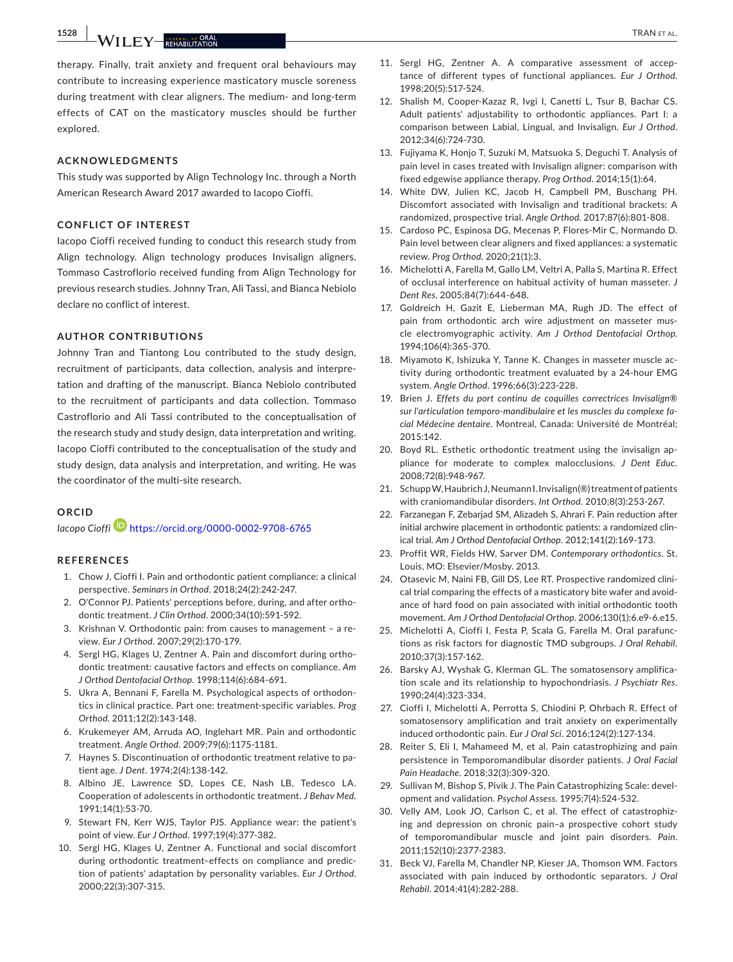**1528 |**  TRAN et al.

therapy. Finally, trait anxiety and frequent oral behaviours may contribute to increasing experience masticatory muscle soreness during treatment with clear aligners. The medium- and long-term effects of CAT on the masticatory muscles should be further explored.

#### **ACKNOWLEDGMENTS**

This study was supported by Align Technology Inc. through a North American Research Award 2017 awarded to Iacopo Cioffi.

#### **CONFLICT OF INTEREST**

Iacopo Cioffi received funding to conduct this research study from Align technology. Align technology produces Invisalign aligners. Tommaso Castroflorio received funding from Align Technology for previous research studies. Johnny Tran, Ali Tassi, and Bianca Nebiolo declare no conflict of interest.

#### **AUTHOR CONTRIBUTIONS**

Johnny Tran and Tiantong Lou contributed to the study design, recruitment of participants, data collection, analysis and interpretation and drafting of the manuscript. Bianca Nebiolo contributed to the recruitment of participants and data collection. Tommaso Castroflorio and Ali Tassi contributed to the conceptualisation of the research study and study design, data interpretation and writing. Iacopo Cioffi contributed to the conceptualisation of the study and study design, data analysis and interpretation, and writing. He was the coordinator of the multi-site research.

#### **ORCID**

*Iacopo Cioffi* <https://orcid.org/0000-0002-9708-6765>

#### **REFERENCES**

- 1. Chow J, Cioffi I. Pain and orthodontic patient compliance: a clinical perspective. *Seminars in Orthod*. 2018;24(2):242-247.
- 2. O'Connor PJ. Patients' perceptions before, during, and after orthodontic treatment. *J Clin Orthod*. 2000;34(10):591-592.
- 3. Krishnan V. Orthodontic pain: from causes to management a review. *Eur J Orthod*. 2007;29(2):170-179.
- 4. Sergl HG, Klages U, Zentner A. Pain and discomfort during orthodontic treatment: causative factors and effects on compliance. *Am J Orthod Dentofacial Orthop*. 1998;114(6):684-691.
- 5. Ukra A, Bennani F, Farella M. Psychological aspects of orthodontics in clinical practice. Part one: treatment-specific variables. *Prog Orthod*. 2011;12(2):143-148.
- 6. Krukemeyer AM, Arruda AO, Inglehart MR. Pain and orthodontic treatment. *Angle Orthod*. 2009;79(6):1175-1181.
- 7. Haynes S. Discontinuation of orthodontic treatment relative to patient age. *J Dent*. 1974;2(4):138-142.
- 8. Albino JE, Lawrence SD, Lopes CE, Nash LB, Tedesco LA. Cooperation of adolescents in orthodontic treatment. *J Behav Med*. 1991;14(1):53-70.
- 9. Stewart FN, Kerr WJS, Taylor PJS. Appliance wear: the patient's point of view. *Eur J Orthod*. 1997;19(4):377-382.
- 10. Sergl HG, Klages U, Zentner A. Functional and social discomfort during orthodontic treatment–effects on compliance and prediction of patients' adaptation by personality variables. *Eur J Orthod*. 2000;22(3):307-315.
- 11. Sergl HG, Zentner A. A comparative assessment of acceptance of different types of functional appliances. *Eur J Orthod*. 1998;20(5):517-524.
- 12. Shalish M, Cooper-Kazaz R, Ivgi I, Canetti L, Tsur B, Bachar CS. Adult patients' adjustability to orthodontic appliances. Part I: a comparison between Labial, Lingual, and Invisalign. *Eur J Orthod*. 2012;34(6):724-730.
- 13. Fujiyama K, Honjo T, Suzuki M, Matsuoka S, Deguchi T. Analysis of pain level in cases treated with Invisalign aligner: comparison with fixed edgewise appliance therapy. *Prog Orthod*. 2014;15(1):64.
- 14. White DW, Julien KC, Jacob H, Campbell PM, Buschang PH. Discomfort associated with Invisalign and traditional brackets: A randomized, prospective trial. *Angle Orthod*. 2017;87(6):801-808.
- 15. Cardoso PC, Espinosa DG, Mecenas P, Flores-Mir C, Normando D. Pain level between clear aligners and fixed appliances: a systematic review. *Prog Orthod*. 2020;21(1):3.
- 16. Michelotti A, Farella M, Gallo LM, Veltri A, Palla S, Martina R. Effect of occlusal interference on habitual activity of human masseter. *J Dent Res*. 2005;84(7):644-648.
- 17. Goldreich H, Gazit E, Lieberman MA, Rugh JD. The effect of pain from orthodontic arch wire adjustment on masseter muscle electromyographic activity. *Am J Orthod Dentofacial Orthop*. 1994;106(4):365-370.
- 18. Miyamoto K, Ishizuka Y, Tanne K. Changes in masseter muscle activity during orthodontic treatment evaluated by a 24-hour EMG system. *Angle Orthod*. 1996;66(3):223-228.
- 19. Brien J. *Effets du port continu de coquilles correctrices Invisalign® sur l'articulation temporo-mandibulaire et les muscles du complexe facial Médecine dentaire*. Montreal, Canada: Université de Montréal; 2015:142.
- 20. Boyd RL. Esthetic orthodontic treatment using the invisalign appliance for moderate to complex malocclusions. *J Dent Educ*. 2008;72(8):948-967.
- 21. Schupp W, Haubrich J, Neumann I. Invisalign(®) treatment of patients with craniomandibular disorders. *Int Orthod*. 2010;8(3):253-267.
- 22. Farzanegan F, Zebarjad SM, Alizadeh S, Ahrari F. Pain reduction after initial archwire placement in orthodontic patients: a randomized clinical trial. *Am J Orthod Dentofacial Orthop*. 2012;141(2):169-173.
- 23. Proffit WR, Fields HW, Sarver DM. *Contemporary orthodontics*. St. Louis, MO: Elsevier/Mosby. 2013.
- 24. Otasevic M, Naini FB, Gill DS, Lee RT. Prospective randomized clinical trial comparing the effects of a masticatory bite wafer and avoidance of hard food on pain associated with initial orthodontic tooth movement. *Am J Orthod Dentofacial Orthop*. 2006;130(1):6.e9-6.e15.
- 25. Michelotti A, Cioffi I, Festa P, Scala G, Farella M. Oral parafunctions as risk factors for diagnostic TMD subgroups. *J Oral Rehabil*. 2010;37(3):157-162.
- 26. Barsky AJ, Wyshak G, Klerman GL. The somatosensory amplification scale and its relationship to hypochondriasis. *J Psychiatr Res*. 1990;24(4):323-334.
- 27. Cioffi I, Michelotti A, Perrotta S, Chiodini P, Ohrbach R. Effect of somatosensory amplification and trait anxiety on experimentally induced orthodontic pain. *Eur J Oral Sci*. 2016;124(2):127-134.
- 28. Reiter S, Eli I, Mahameed M, et al. Pain catastrophizing and pain persistence in Temporomandibular disorder patients. *J Oral Facial Pain Headache*. 2018;32(3):309-320.
- 29. Sullivan M, Bishop S, Pivik J. The Pain Catastrophizing Scale: development and validation. *Psychol Assess*. 1995;7(4):524-532.
- 30. Velly AM, Look JO, Carlson C, et al. The effect of catastrophizing and depression on chronic pain–a prospective cohort study of temporomandibular muscle and joint pain disorders. *Pain*. 2011;152(10):2377-2383.
- 31. Beck VJ, Farella M, Chandler NP, Kieser JA, Thomson WM. Factors associated with pain induced by orthodontic separators. *J Oral Rehabil*. 2014;41(4):282-288.